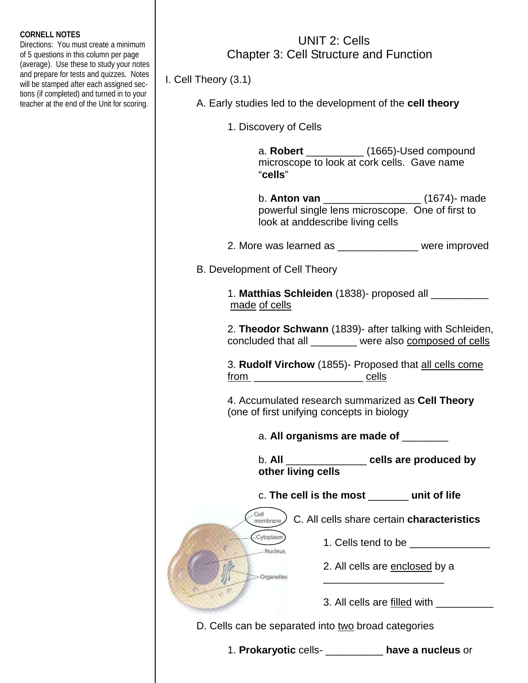## **CORNELL NOTES**

Directions: You must create a minimum of 5 questions in this column per page (average). Use these to study your notes and prepare for tests and quizzes. Notes will be stamped after each assigned sections (if completed) and turned in to your teacher at the end of the Unit for scoring.

## UNIT 2: Cells Chapter 3: Cell Structure and Function

I. Cell Theory (3.1)

A. Early studies led to the development of the **cell theory**

1. Discovery of Cells

 a. **Robert** \_\_\_\_\_\_\_\_\_\_ (1665)-Used compound microscope to look at cork cells. Gave name "**cells**"

 b. **Anton van** \_\_\_\_\_\_\_\_\_\_\_\_\_\_\_\_\_ (1674)- made powerful single lens microscope. One of first to look at anddescribe living cells

2. More was learned as \_\_\_\_\_\_\_\_\_\_\_\_\_\_ were improved

B. Development of Cell Theory

 $-Cy$ toplasm Nucleus

-Organelles

 1. **Matthias Schleiden** (1838)- proposed all \_\_\_\_\_\_\_\_\_\_ made of cells

 2. **Theodor Schwann** (1839)- after talking with Schleiden, concluded that all \_\_\_\_\_\_\_\_ were also composed of cells

 3. **Rudolf Virchow** (1855)- Proposed that all cells come from \_\_\_\_\_\_\_\_\_\_\_\_\_\_\_\_\_\_\_ cells

 4. Accumulated research summarized as **Cell Theory**  (one of first unifying concepts in biology

a. **All organisms are made of** \_\_\_\_\_\_\_\_

 b. **All** \_\_\_\_\_\_\_\_\_\_\_\_\_\_ **cells are produced by other living cells** 

c. **The cell is the most** \_\_\_\_\_\_\_ **unit of life** 

Cell C. All cells share certain **characteristics**  $\frac{C_{en}}{m$ embrane

 $\frac{1}{\sqrt{2}}$  ,  $\frac{1}{\sqrt{2}}$  ,  $\frac{1}{\sqrt{2}}$  ,  $\frac{1}{\sqrt{2}}$  ,  $\frac{1}{\sqrt{2}}$  ,  $\frac{1}{\sqrt{2}}$  ,  $\frac{1}{\sqrt{2}}$  ,  $\frac{1}{\sqrt{2}}$  ,  $\frac{1}{\sqrt{2}}$  ,  $\frac{1}{\sqrt{2}}$  ,  $\frac{1}{\sqrt{2}}$  ,  $\frac{1}{\sqrt{2}}$  ,  $\frac{1}{\sqrt{2}}$  ,  $\frac{1}{\sqrt{2}}$  ,  $\frac{1}{\sqrt{2}}$ 

1. Cells tend to be \_\_\_\_\_\_\_\_\_\_\_\_\_\_

2. All cells are enclosed by a

3. All cells are filled with \_\_\_\_\_\_\_\_\_\_

D. Cells can be separated into two broad categories

1. **Prokaryotic** cells- \_\_\_\_\_\_\_\_\_\_ **have a nucleus** or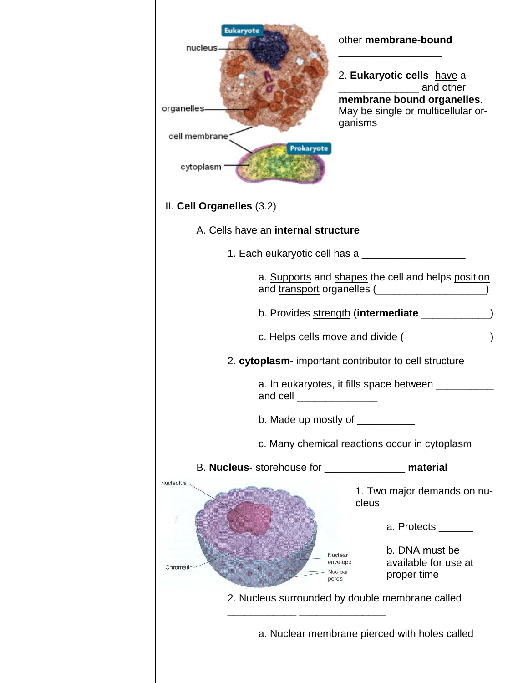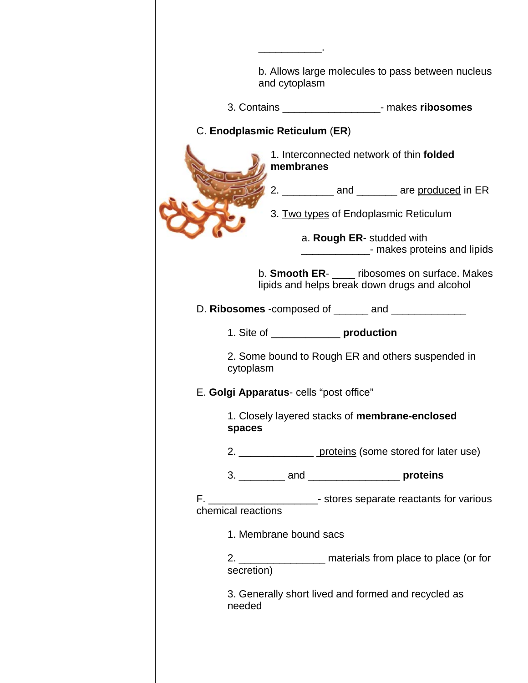| b. Allows large molecules to pass between nucleus<br>and cytoplasm                         |
|--------------------------------------------------------------------------------------------|
| 3. Contains ________________________- makes ribosomes                                      |
| C. Enodplasmic Reticulum (ER)                                                              |
| 1. Interconnected network of thin folded<br>membranes                                      |
| 2. ____________ and ________ are produced in ER                                            |
| 3. Two types of Endoplasmic Reticulum                                                      |
| a. Rough ER- studded with<br>___________________- makes proteins and lipids                |
| b. Smooth ER- ribosomes on surface. Makes<br>lipids and helps break down drugs and alcohol |
| D. Ribosomes -composed of ______ and _______________                                       |
| 1. Site of ________________ production                                                     |
| 2. Some bound to Rough ER and others suspended in<br>cytoplasm                             |
| E. Golgi Apparatus- cells "post office"                                                    |
| 1. Closely layered stacks of membrane-enclosed<br>spaces                                   |
| 2. ________________________ proteins (some stored for later use)                           |
|                                                                                            |
| F. __________________________- stores separate reactants for various<br>chemical reactions |
| 1. Membrane bound sacs                                                                     |
| 2. __________________ materials from place to place (or for<br>secretion)                  |
| 3. Generally short lived and formed and recycled as<br>needed                              |
|                                                                                            |

C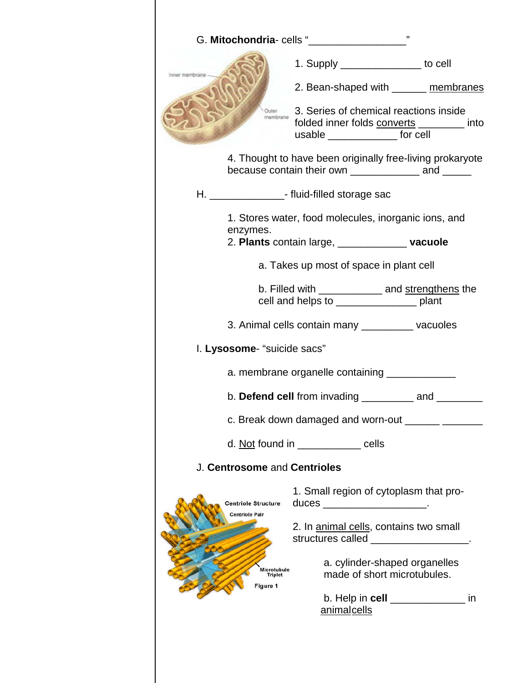|               |                                                     | 1. Supply __________________ to cell                                                                                       |    |
|---------------|-----------------------------------------------------|----------------------------------------------------------------------------------------------------------------------------|----|
| er membrane - |                                                     | 2. Bean-shaped with _______ membranes                                                                                      |    |
|               | membrane                                            | 3. Series of chemical reactions inside<br>folded inner folds converts _________ into<br>usable __________________ for cell |    |
|               |                                                     | 4. Thought to have been originally free-living prokaryote                                                                  |    |
|               |                                                     | H. _______________________- fluid-filled storage sac                                                                       |    |
|               | enzymes.                                            | 1. Stores water, food molecules, inorganic ions, and                                                                       |    |
|               |                                                     | 2. Plants contain large, ________________ vacuole                                                                          |    |
|               |                                                     | a. Takes up most of space in plant cell                                                                                    |    |
|               |                                                     | b. Filled with _____________ and strengthens the<br>cell and helps to _______________________ plant                        |    |
|               |                                                     | 3. Animal cells contain many ___________ vacuoles                                                                          |    |
|               | I. Lysosome- "suicide sacs"                         |                                                                                                                            |    |
|               |                                                     | a. membrane organelle containing _______________                                                                           |    |
|               |                                                     | b. Defend cell from invading $\frac{1}{\sqrt{1-\frac{1}{2}}}\$ and $\frac{1}{\sqrt{1-\frac{1}{2}}}\$                       |    |
|               |                                                     |                                                                                                                            |    |
|               |                                                     | d. Not found in _____________ cells                                                                                        |    |
|               | J. Centrosome and Centrioles                        |                                                                                                                            |    |
|               | <b>Centriole Structure</b><br><b>Centriole Pair</b> | 1. Small region of cytoplasm that pro-<br>duces _______________________.                                                   |    |
|               |                                                     | 2. In animal cells, contains two small<br>structures called ___________________.                                           |    |
|               | Microtubule<br><b>Triplet</b><br>Figure 1           | a. cylinder-shaped organelles<br>made of short microtubules.                                                               |    |
|               |                                                     | b. Help in cell _____________<br>animalcells                                                                               | in |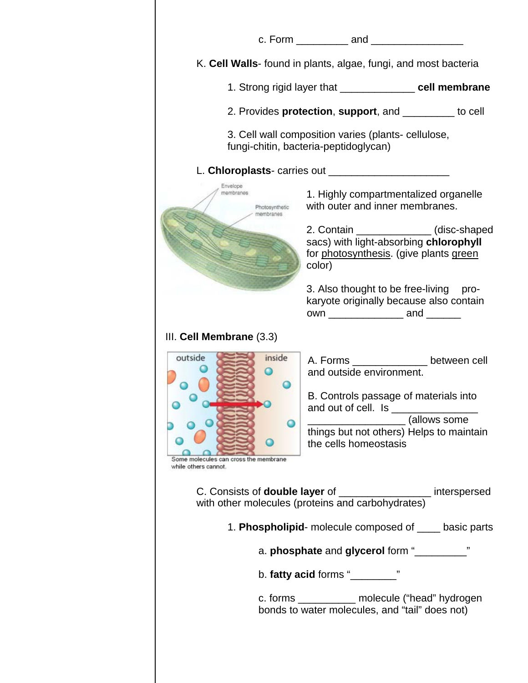|                                                                                  | c. Form ___________ and ________________                                                                                                                                                                                                                         |  |
|----------------------------------------------------------------------------------|------------------------------------------------------------------------------------------------------------------------------------------------------------------------------------------------------------------------------------------------------------------|--|
|                                                                                  | K. Cell Walls- found in plants, algae, fungi, and most bacteria                                                                                                                                                                                                  |  |
|                                                                                  | 1. Strong rigid layer that ______________ cell membrane                                                                                                                                                                                                          |  |
|                                                                                  | 2. Provides <b>protection</b> , support, and __________ to cell                                                                                                                                                                                                  |  |
|                                                                                  | 3. Cell wall composition varies (plants- cellulose,<br>fungi-chitin, bacteria-peptidoglycan)                                                                                                                                                                     |  |
|                                                                                  |                                                                                                                                                                                                                                                                  |  |
| Envelope<br>mombranos.<br>Photosynthetic<br>membranes                            | 1. Highly compartmentalized organelle<br>with outer and inner membranes.                                                                                                                                                                                         |  |
|                                                                                  | 2. Contain _______________(disc-shaped<br>sacs) with light-absorbing chlorophyll<br>for photosynthesis. (give plants green<br>color)                                                                                                                             |  |
|                                                                                  | 3. Also thought to be free-living pro-<br>karyote originally because also contain<br>own ________________________ and ________                                                                                                                                   |  |
| III. Cell Membrane (3.3)                                                         |                                                                                                                                                                                                                                                                  |  |
| outside<br>inside<br>ne molecules can cross the membrane<br>while others cannot. | A. Forms _______________ between cell<br>and outside environment.<br>B. Controls passage of materials into<br>and out of cell. Is _____________<br>____________________________(allows some<br>things but not others) Helps to maintain<br>the cells homeostasis |  |
|                                                                                  | C. Consists of <b>double layer</b> of ___________________ interspersed<br>with other molecules (proteins and carbohydrates)                                                                                                                                      |  |
|                                                                                  | 1. Phospholipid- molecule composed of _____ basic parts                                                                                                                                                                                                          |  |
|                                                                                  | a. phosphate and glycerol form "______                                                                                                                                                                                                                           |  |
|                                                                                  | b. fatty acid forms " $\frac{1}{2}$ "                                                                                                                                                                                                                            |  |
|                                                                                  | c. forms ____________ molecule ("head" hydrogen<br>bonds to water molecules, and "tail" does not)                                                                                                                                                                |  |
|                                                                                  |                                                                                                                                                                                                                                                                  |  |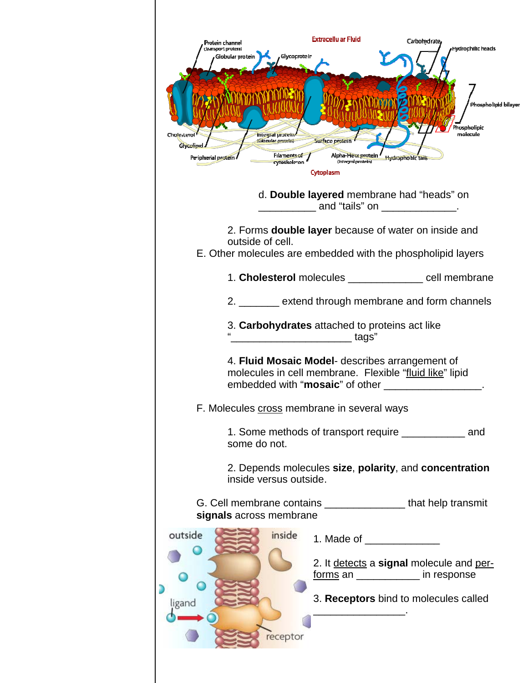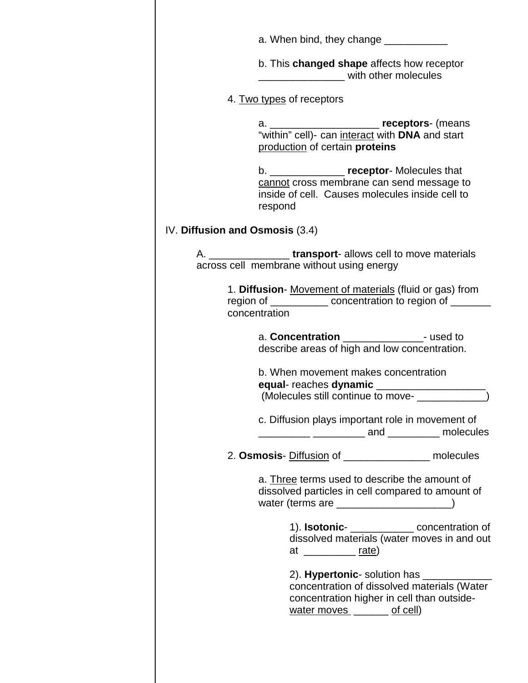| b. This changed shape affects how receptor<br>with other molecules<br>4. Two types of receptors<br>production of certain proteins<br>b. __________________ receptor- Molecules that<br>cannot cross membrane can send message to<br>inside of cell. Causes molecules inside cell to<br>respond<br>IV. Diffusion and Osmosis (3.4)<br>A. ______________________transport- allows cell to move materials<br>across cell membrane without using energy<br>1. Diffusion- Movement of materials (fluid or gas) from<br>region of ______________ concentration to region of ________<br>concentration<br>a. Concentration ________________- used to<br>describe areas of high and low concentration.<br>b. When movement makes concentration<br>equal-reaches dynamic ___________________ |
|-------------------------------------------------------------------------------------------------------------------------------------------------------------------------------------------------------------------------------------------------------------------------------------------------------------------------------------------------------------------------------------------------------------------------------------------------------------------------------------------------------------------------------------------------------------------------------------------------------------------------------------------------------------------------------------------------------------------------------------------------------------------------------------|
|                                                                                                                                                                                                                                                                                                                                                                                                                                                                                                                                                                                                                                                                                                                                                                                     |
|                                                                                                                                                                                                                                                                                                                                                                                                                                                                                                                                                                                                                                                                                                                                                                                     |
|                                                                                                                                                                                                                                                                                                                                                                                                                                                                                                                                                                                                                                                                                                                                                                                     |
|                                                                                                                                                                                                                                                                                                                                                                                                                                                                                                                                                                                                                                                                                                                                                                                     |
|                                                                                                                                                                                                                                                                                                                                                                                                                                                                                                                                                                                                                                                                                                                                                                                     |
|                                                                                                                                                                                                                                                                                                                                                                                                                                                                                                                                                                                                                                                                                                                                                                                     |
|                                                                                                                                                                                                                                                                                                                                                                                                                                                                                                                                                                                                                                                                                                                                                                                     |
|                                                                                                                                                                                                                                                                                                                                                                                                                                                                                                                                                                                                                                                                                                                                                                                     |
| (Molecules still continue to move-<br><u> </u>                                                                                                                                                                                                                                                                                                                                                                                                                                                                                                                                                                                                                                                                                                                                      |
| c. Diffusion plays important role in movement of<br>__________ ____________ and __________ molecules                                                                                                                                                                                                                                                                                                                                                                                                                                                                                                                                                                                                                                                                                |
| 2. Osmosis- Diffusion of __________________ molecules                                                                                                                                                                                                                                                                                                                                                                                                                                                                                                                                                                                                                                                                                                                               |
| a. Three terms used to describe the amount of<br>dissolved particles in cell compared to amount of<br>water (terms are ________________________)                                                                                                                                                                                                                                                                                                                                                                                                                                                                                                                                                                                                                                    |
| 1). Isotonic-<br><u> concentration</u> of<br>dissolved materials (water moves in and out<br>at _____________ rate)                                                                                                                                                                                                                                                                                                                                                                                                                                                                                                                                                                                                                                                                  |
| concentration of dissolved materials (Water<br>concentration higher in cell than outside-<br>water moves ______ of cell)                                                                                                                                                                                                                                                                                                                                                                                                                                                                                                                                                                                                                                                            |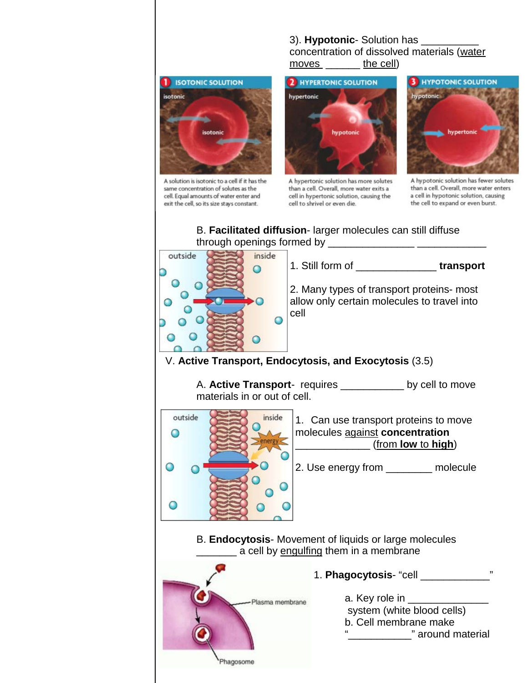## 3). **Hypotonic**- Solution has

 concentration of dissolved materials (water moves \_\_\_\_\_\_ the cell)



A solution is isotonic to a cell if it has the same concentration of solutes as the cell. Equal amounts of water enter and exit the cell, so its size stays constant.

Phagosome



A hypertonic solution has more solutes than a cell. Overall, more water exits a cell in hypertonic solution, causing the cell to shrivel or even die.



A hypotonic solution has fewer solutes than a cell. Overall, more water enters a cell in hypotonic solution, causing the cell to expand or even burst.

## B. **Facilitated diffusion**- larger molecules can still diffuse through openings formed by  $\frac{1}{2}$



 A. **Active Transport**- requires \_\_\_\_\_\_\_\_\_\_\_ by cell to move materials in or out of cell.



 B. **Endocytosis**- Movement of liquids or large molecules a cell by engulfing them in a membrane